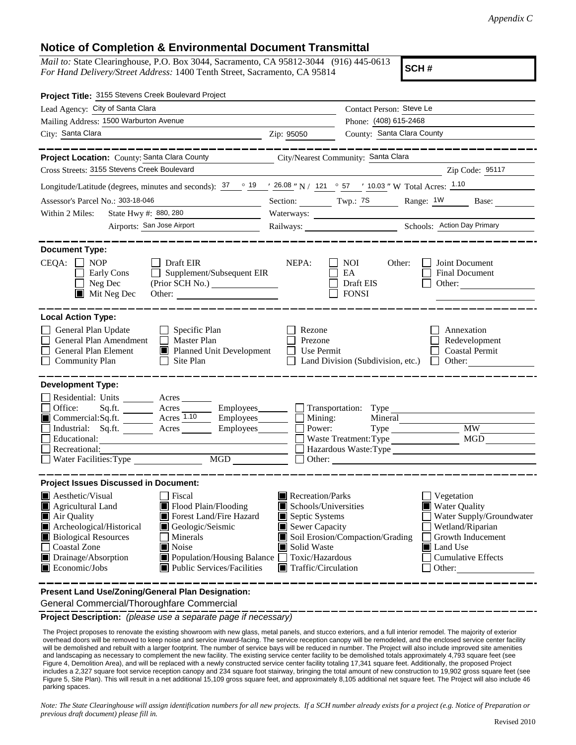## **Notice of Completion & Environmental Document Transmittal**

*Mail to:* State Clearinghouse, P.O. Box 3044, Sacramento, CA 95812-3044 (916) 445-0613 *For Hand Delivery/Street Address:* 1400 Tenth Street, Sacramento, CA 95814

**SCH #**

| Project Title: 3155 Stevens Creek Boulevard Project                                                                                                                                                                                                                                                                                                                    |                                                                                                                                                                                                                                                                                                                                                   |                                                                                                                              |  |
|------------------------------------------------------------------------------------------------------------------------------------------------------------------------------------------------------------------------------------------------------------------------------------------------------------------------------------------------------------------------|---------------------------------------------------------------------------------------------------------------------------------------------------------------------------------------------------------------------------------------------------------------------------------------------------------------------------------------------------|------------------------------------------------------------------------------------------------------------------------------|--|
| Lead Agency: City of Santa Clara                                                                                                                                                                                                                                                                                                                                       |                                                                                                                                                                                                                                                                                                                                                   | Contact Person: Steve Le                                                                                                     |  |
| Mailing Address: 1500 Warburton Avenue                                                                                                                                                                                                                                                                                                                                 |                                                                                                                                                                                                                                                                                                                                                   | Phone: (408) 615-2468                                                                                                        |  |
| City: Santa Clara                                                                                                                                                                                                                                                                                                                                                      | Zip: 95050                                                                                                                                                                                                                                                                                                                                        | County: Santa Clara County                                                                                                   |  |
|                                                                                                                                                                                                                                                                                                                                                                        |                                                                                                                                                                                                                                                                                                                                                   |                                                                                                                              |  |
| Project Location: County: Santa Clara County City/Nearest Community: Santa Clara                                                                                                                                                                                                                                                                                       |                                                                                                                                                                                                                                                                                                                                                   |                                                                                                                              |  |
| Cross Streets: 3155 Stevens Creek Boulevard                                                                                                                                                                                                                                                                                                                            |                                                                                                                                                                                                                                                                                                                                                   | Zip Code: 95117                                                                                                              |  |
| Longitude/Latitude (degrees, minutes and seconds): $\frac{37}{19}$ $\frac{19}{120}$ $\frac{126.08}{121}$ N / 121 $\degree$ 57 $\degree$ 10.03 " W Total Acres: $\frac{1.10}{12.10}$                                                                                                                                                                                    |                                                                                                                                                                                                                                                                                                                                                   |                                                                                                                              |  |
| Assessor's Parcel No.: 303-18-046                                                                                                                                                                                                                                                                                                                                      | Section: Twp.: 7S Range: 1W Base:                                                                                                                                                                                                                                                                                                                 |                                                                                                                              |  |
| State Hwy #: 880, 280<br>Within 2 Miles:                                                                                                                                                                                                                                                                                                                               |                                                                                                                                                                                                                                                                                                                                                   |                                                                                                                              |  |
| Airports: San Jose Airport                                                                                                                                                                                                                                                                                                                                             |                                                                                                                                                                                                                                                                                                                                                   | Railways: Schools: Action Day Primary                                                                                        |  |
| <b>Document Type:</b><br>$CEQA: \Box NP$<br>Draft EIR<br>Supplement/Subsequent EIR<br>Early Cons<br>$\Box$ Neg Dec<br>(Prior SCH No.)<br>$\blacksquare$ Mit Neg Dec<br>Other:                                                                                                                                                                                          | NEPA:<br>EA                                                                                                                                                                                                                                                                                                                                       | <b>NOI</b><br>Joint Document<br>Other:<br>Final Document<br>Draft EIS<br>Other:<br><b>FONSI</b>                              |  |
| <b>Local Action Type:</b><br>General Plan Update<br>Specific Plan<br>General Plan Amendment<br>Master Plan<br>General Plan Element<br>Planned Unit Development<br>Site Plan<br><b>Community Plan</b><br>$\perp$                                                                                                                                                        | Rezone<br>Prezone<br>Use Permit                                                                                                                                                                                                                                                                                                                   | Annexation<br>Redevelopment<br><b>Coastal Permit</b><br>Land Division (Subdivision, etc.)<br>Other:                          |  |
| <b>Development Type:</b>                                                                                                                                                                                                                                                                                                                                               |                                                                                                                                                                                                                                                                                                                                                   |                                                                                                                              |  |
| Residential: Units ________<br>Acres<br>Office:<br>Sq.fit.<br>Commercial:Sq.ft. <u>Acres 1.10</u><br>$\equiv$ Employees<br>Industrial: Sq.ft. Acres<br>Employees_______<br>Educational:<br>Recreational:<br>MGD<br>Water Facilities: Type                                                                                                                              | $\blacksquare$ Mining:<br>Power:                                                                                                                                                                                                                                                                                                                  | $\Box$ Transportation: Type<br>Mineral<br><b>MW</b><br><b>MGD</b><br>Waste Treatment: Type<br>Hazardous Waste:Type<br>Other: |  |
| <b>Project Issues Discussed in Document:</b>                                                                                                                                                                                                                                                                                                                           |                                                                                                                                                                                                                                                                                                                                                   |                                                                                                                              |  |
| <b>Aesthetic/Visual</b><br>  Fiscal<br>Flood Plain/Flooding<br>Agricultural Land<br>Air Quality<br>Forest Land/Fire Hazard<br>Archeological/Historical<br>Geologic/Seismic<br><b>Biological Resources</b><br>Minerals<br>Coastal Zone<br>Noise<br>Drainage/Absorption<br>■ Population/Housing Balance ■ Toxic/Hazardous<br>Public Services/Facilities<br>Economic/Jobs | $\blacksquare$ Recreation/Parks<br>Vegetation<br><b>Water Quality</b><br>Schools/Universities<br>Water Supply/Groundwater<br>Septic Systems<br>Sewer Capacity<br>Wetland/Riparian<br>Soil Erosion/Compaction/Grading<br>Growth Inducement<br>Solid Waste<br>Land Use<br><b>Cumulative Effects</b><br>$\blacksquare$ Traffic/Circulation<br>Other: |                                                                                                                              |  |
| Present Land Use/Zoning/General Plan Designation:                                                                                                                                                                                                                                                                                                                      |                                                                                                                                                                                                                                                                                                                                                   |                                                                                                                              |  |

General Commercial/Thoroughfare Commercial

**Project Description:** *(please use a separate page if necessary)*

 The Project proposes to renovate the existing showroom with new glass, metal panels, and stucco exteriors, and a full interior remodel. The majority of exterior overhead doors will be removed to keep noise and service inward-facing. The service reception canopy will be remodeled, and the enclosed service center facility will be demolished and rebuilt with a larger footprint. The number of service bays will be reduced in number. The Project will also include improved site amenities and landscaping as necessary to complement the new facility. The existing service center facility to be demolished totals approximately 4,793 square feet (see Figure 4, Demolition Area), and will be replaced with a newly constructed service center facility totaling 17,341 square feet. Additionally, the proposed Project includes a 2,327 square foot service reception canopy and 234 square foot stairway, bringing the total amount of new construction to 19,902 gross square feet (see Figure 5, Site Plan). This will result in a net additional 15,109 gross square feet, and approximately 8,105 additional net square feet. The Project will also include 46 parking spaces.

*Note: The State Clearinghouse will assign identification numbers for all new projects. If a SCH number already exists for a project (e.g. Notice of Preparation or previous draft document) please fill in.*